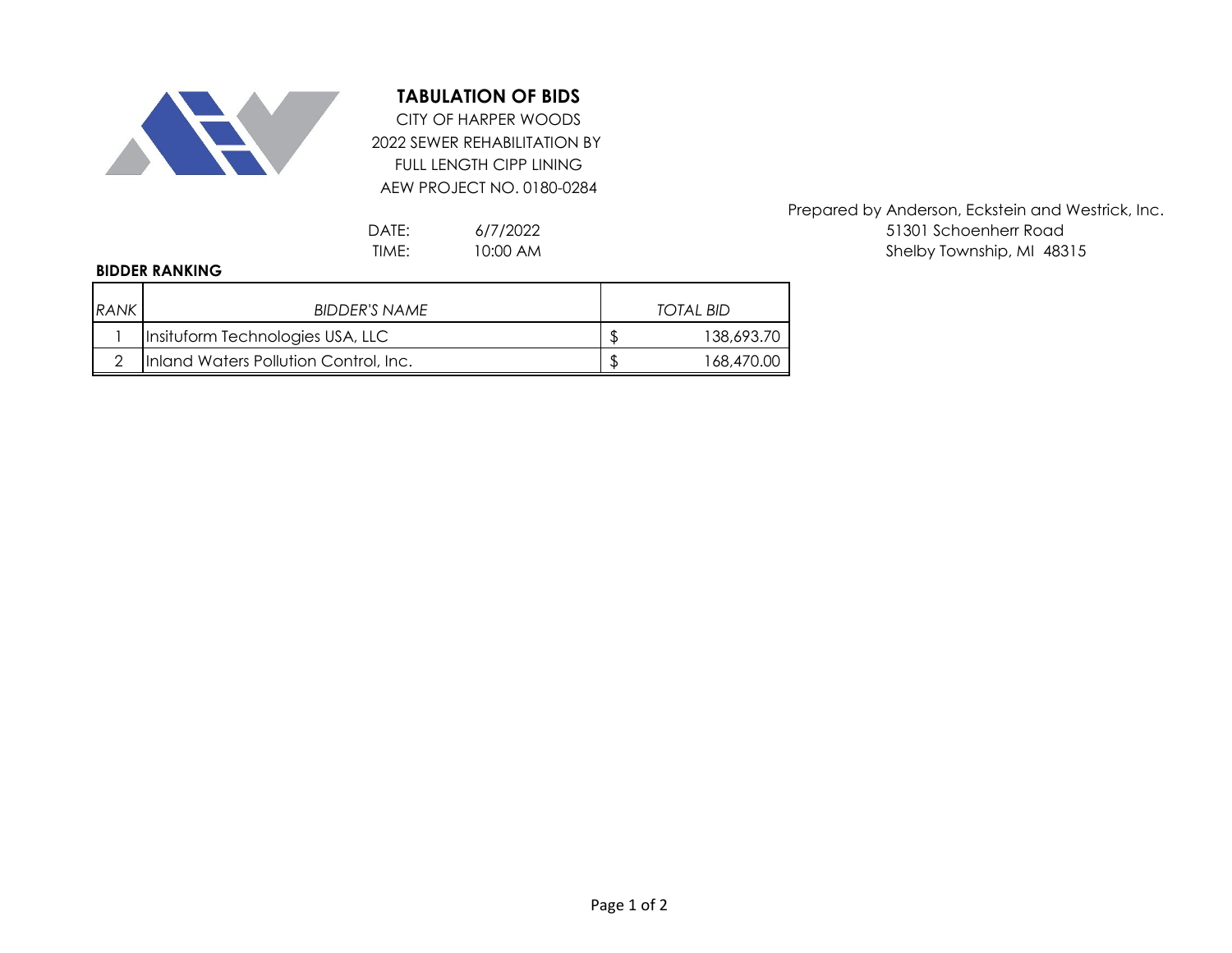

## **TABULATION OF BIDS**

2022 SEWER REHABILITATION BY FULL LENGTH CIPP LINING AEW PROJECT NO. 0180-0284 CITY OF HARPER WOODS

> 6/7/2022 10:00 AM

## **BIDDER RANKING**

| <b>RANK</b> | BIDDER'S NAME                         | TOTAL BID  |
|-------------|---------------------------------------|------------|
|             | Insituform Technologies USA, LLC      | 138,693.70 |
|             | Inland Waters Pollution Control, Inc. | 168,470.00 |

Prepared by Anderson, Eckstein and Westrick, Inc. DATE: 6/7/2022 6/12/2022 51301 Schoenherr Road TIME: 10:00 AM and the state of the Shelby Township, MI 48315